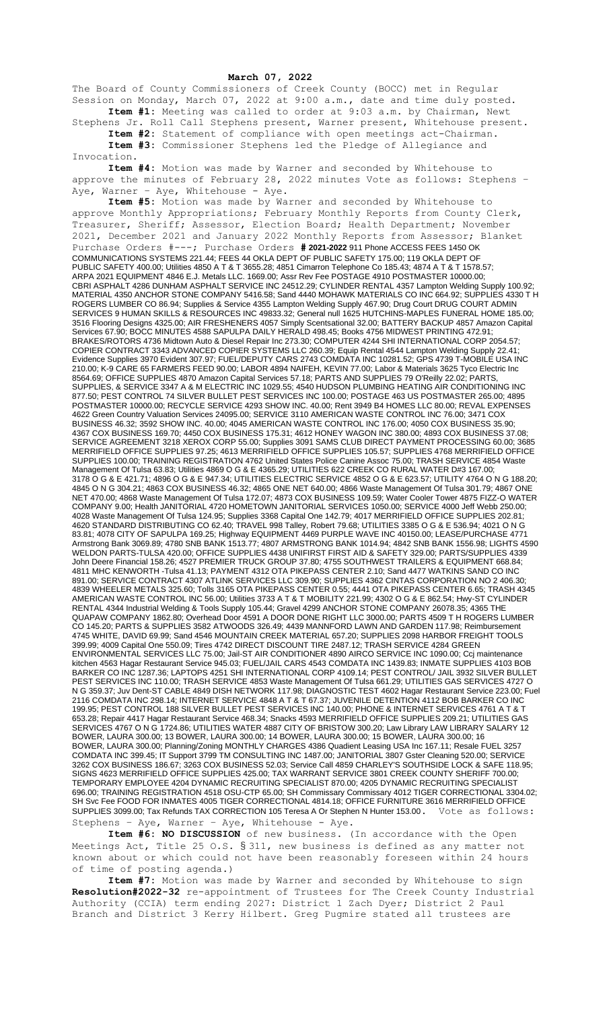## **March 07, 2022**

The Board of County Commissioners of Creek County (BOCC) met in Regular Session on Monday, March 07, 2022 at 9:00 a.m., date and time duly posted. **Item #1:** Meeting was called to order at 9:03 a.m. by Chairman, Newt

Stephens Jr. Roll Call Stephens present, Warner present, Whitehouse present. **Item #2:** Statement of compliance with open meetings act-Chairman. **Item #3:** Commissioner Stephens led the Pledge of Allegiance and

Invocation.

**Item #4:** Motion was made by Warner and seconded by Whitehouse to approve the minutes of February  $28$ , 2022 minutes Vote as follows: Stephens – Aye, Warner - Aye, Whitehouse - Aye.

**Item #5:** Motion was made by Warner and seconded by Whitehouse to approve Monthly Appropriations; February Monthly Reports from County Clerk, Treasurer, Sheriff; Assessor, Election Board; Health Department; November 2021, December 2021 and January 2022 Monthly Reports from Assessor; Blanket Purchase Orders #---; Purchase Orders **# 2021-2022** 911 Phone ACCESS FEES 1450 OK COMMUNICATIONS SYSTEMS 221.44; FEES 44 OKLA DEPT OF PUBLIC SAFETY 175.00; 119 OKLA DEPT OF PUBLIC SAFETY 400.00; Utilities 4850 A T & T 3655.28; 4851 Cimarron Telephone Co 185.43; 4874 A T & T 1578.57; ARPA 2021 EQUIPMENT 4846 E.J. Metals LLC. 1669.00; Assr Rev Fee POSTAGE 4910 POSTMASTER 10000.00; CBRI ASPHALT 4286 DUNHAM ASPHALT SERVICE INC 24512.29; CYLINDER RENTAL 4357 Lampton Welding Supply 100.92; MATERIAL 4350 ANCHOR STONE COMPANY 5416.58; Sand 4440 MOHAWK MATERIALS CO INC 664.92; SUPPLIES 4330 T H ROGERS LUMBER CO 86.94; Supplies & Service 4355 Lampton Welding Supply 467.90; Drug Court DRUG COURT ADMIN SERVICES 9 HUMAN SKILLS & RESOURCES INC 49833.32; General null 1625 HUTCHINS-MAPLES FUNERAL HOME 185.00; 3516 Flooring Designs 4325.00; AIR FRESHENERS 4057 Simply Scentsational 32.00; BATTERY BACKUP 4857 Amazon Capital Services 67.90; BOCC MINUTES 4588 SAPULPA DAILY HERALD 498.45; Books 4756 MIDWEST PRINTING 472.91; BRAKES/ROTORS 4736 Midtown Auto & Diesel Repair Inc 273.30; COMPUTER 4244 SHI INTERNATIONAL CORP 2054.57; COPIER CONTRACT 3343 ADVANCED COPIER SYSTEMS LLC 260.39; Equip Rental 4544 Lampton Welding Supply 22.41; Evidence Supplies 3970 Evident 307.97; FUEL/DEPUTY CARS 2743 COMDATA INC 10281.52; GPS 4739 T-MOBILE USA INC 210.00; K-9 CARE 65 FARMERS FEED 90.00; LABOR 4894 NAIFEH, KEVIN 77.00; Labor & Materials 3625 Tyco Electric Inc 8564.69; OFFICE SUPPLIES 4870 Amazon Capital Services 57.18; PARTS AND SUPPLIES 79 O'Reilly 22.02; PARTS, SUPPLIES, & SERVICE 3347 A & M ELECTRIC INC 1029.55; 4540 HUDSON PLUMBING HEATING AIR CONDITIONING INC 877.50; PEST CONTROL 74 SILVER BULLET PEST SERVICES INC 100.00; POSTAGE 463 US POSTMASTER 265.00; 4895 POSTMASTER 10000.00; RECYCLE SERVICE 4293 SHOW INC. 40.00; Rent 3949 B4 HOMES LLC 80.00; REVAL EXPENSES 4622 Green Country Valuation Services 24095.00; SERVICE 3110 AMERICAN WASTE CONTROL INC 76.00; 3471 COX BUSINESS 46.32; 3592 SHOW INC. 40.00; 4045 AMERICAN WASTE CONTROL INC 176.00; 4050 COX BUSINESS 35.90; 4367 COX BUSINESS 169.70; 4450 COX BUSINESS 175.31; 4612 HONEY WAGON INC 380.00; 4893 COX BUSINESS 37.08; SERVICE AGREEMENT 3218 XEROX CORP 55.00; Supplies 3091 SAMS CLUB DIRECT PAYMENT PROCESSING 60.00; 3685 MERRIFIELD OFFICE SUPPLIES 97.25; 4613 MERRIFIELD OFFICE SUPPLIES 105.57; SUPPLIES 4768 MERRIFIELD OFFICE SUPPLIES 100.00; TRAINING REGISTRATION 4762 United States Police Canine Assoc 75.00; TRASH SERVICE 4854 Waste Management Of Tulsa 63.83; Utilities 4869 O G & E 4365.29; UTILITIES 622 CREEK CO RURAL WATER D#3 167.00; 3178 O G & E 421.71; 4896 O G & E 947.34; UTILITIES ELECTRIC SERVICE 4852 O G & E 623.57; UTILITY 4764 O N G 188.20; 4845 O N G 304.21; 4863 COX BUSINESS 46.32; 4865 ONE NET 640.00; 4866 Waste Management Of Tulsa 301.79; 4867 ONE NET 470.00; 4868 Waste Management Of Tulsa 172.07; 4873 COX BUSINESS 109.59; Water Cooler Tower 4875 FIZZ-O WATER COMPANY 9.00; Health JANITORIAL 4720 HOMETOWN JANITORIAL SERVICES 1050.00; SERVICE 4000 Jeff Webb 250.00; 4028 Waste Management Of Tulsa 124.95; Supplies 3368 Capital One 142.79; 4017 MERRIFIELD OFFICE SUPPLIES 202.81; 4620 STANDARD DISTRIBUTING CO 62.40; TRAVEL 998 Talley, Robert 79.68; UTILITIES 3385 O G & E 536.94; 4021 O N G 83.81; 4078 CITY OF SAPULPA 169.25; Highway EQUIPMENT 4469 PURPLE WAVE INC 40150.00; LEASE/PURCHASE 4771 Armstrong Bank 3069.89; 4780 SNB BANK 1513.77; 4807 ARMSTRONG BANK 1014.94; 4842 SNB BANK 1556.98; LIGHTS 4590 WELDON PARTS-TULSA 420.00; OFFICE SUPPLIES 4438 UNIFIRST FIRST AID & SAFETY 329.00; PARTS/SUPPLIES 4339 John Deere Financial 158.26; 4527 PREMIER TRUCK GROUP 37.80; 4755 SOUTHWEST TRAILERS & EQUIPMENT 668.84; 4811 MHC KENWORTH -Tulsa 41.13; PAYMENT 4312 OTA PIKEPASS CENTER 2.10; Sand 4477 WATKINS SAND CO INC 891.00; SERVICE CONTRACT 4307 ATLINK SERVICES LLC 309.90; SUPPLIES 4362 CINTAS CORPORATION NO 2 406.30; 4839 WHEELER METALS 325.60; Tolls 3165 OTA PIKEPASS CENTER 0.55; 4441 OTA PIKEPASS CENTER 6.65; TRASH 4345 AMERICAN WASTE CONTROL INC 56.00; Utilities 3733 A T & T MOBILITY 221.99; 4302 O G & E 862.54; Hwy-ST CYLINDER RENTAL 4344 Industrial Welding & Tools Supply 105.44; Gravel 4299 ANCHOR STONE COMPANY 26078.35; 4365 THE QUAPAW COMPANY 1862.80; Overhead Door 4591 A DOOR DONE RIGHT LLC 3000.00; PARTS 4509 T H ROGERS LUMBER CO 145.20; PARTS & SUPPLIES 3582 ATWOODS 326.49; 4439 MANNFORD LAWN AND GARDEN 117.98; Reimbursement 4745 WHITE, DAVID 69.99; Sand 4546 MOUNTAIN CREEK MATERIAL 657.20; SUPPLIES 2098 HARBOR FREIGHT TOOLS 399.99; 4009 Capital One 550.09; Tires 4742 DIRECT DISCOUNT TIRE 2487.12; TRASH SERVICE 4284 GREEN ENVIRONMENTAL SERVICES LLC 75.00; Jail-ST AIR CONDITIONER 4890 AIRCO SERVICE INC 1090.00; Ccj maintenance kitchen 4563 Hagar Restaurant Service 945.03; FUEL/JAIL CARS 4543 COMDATA INC 1439.83; INMATE SUPPLIES 4103 BOB BARKER CO INC 1287.36; LAPTOPS 4251 SHI INTERNATIONAL CORP 4109.14; PEST CONTROL/ JAIL 3932 SILVER BULLET PEST SERVICES INC 110.00; TRASH SERVICE 4853 Waste Management Of Tulsa 661.29; UTILITIES GAS SERVICES 4727 O N G 359.37; Juv Dent-ST CABLE 4849 DISH NETWORK 117.98; DIAGNOSTIC TEST 4602 Hagar Restaurant Service 223.00; Fuel 2116 COMDATA INC 298.14; INTERNET SERVICE 4848 A T & T 67.37; JUVENILE DETENTION 4112 BOB BARKER CO INC 199.95; PEST CONTROL 188 SILVER BULLET PEST SERVICES INC 140.00; PHONE & INTERNET SERVICES 4761 A T & T 653.28; Repair 4417 Hagar Restaurant Service 468.34; Snacks 4593 MERRIFIELD OFFICE SUPPLIES 209.21; UTILITIES GAS SERVICES 4767 O N G 1724.86; UTILITIES WATER 4887 CITY OF BRISTOW 300.20; Law Library LAW LIBRARY SALARY 12 BOWER, LAURA 300.00; 13 BOWER, LAURA 300.00; 14 BOWER, LAURA 300.00; 15 BOWER, LAURA 300.00; 16 BOWER, LAURA 300.00; Planning/Zoning MONTHLY CHARGES 4386 Quadient Leasing USA Inc 167.11; Resale FUEL 3257 COMDATA INC 399.45; IT Support 3799 TM CONSULTING INC 1487.00; JANITORIAL 3807 Gster Cleaning 520.00; SERVICE 3262 COX BUSINESS 186.67; 3263 COX BUSINESS 52.03; Service Call 4859 CHARLEY'S SOUTHSIDE LOCK & SAFE 118.95; SIGNS 4623 MERRIFIELD OFFICE SUPPLIES 425.00; TAX WARRANT SERVICE 3801 CREEK COUNTY SHERIFF 700.00; TEMPORARY EMPLOYEE 4204 DYNAMIC RECRUITING SPECIALIST 870.00; 4205 DYNAMIC RECRUITING SPECIALIST 696.00; TRAINING REGISTRATION 4518 OSU-CTP 65.00; SH Commissary Commissary 4012 TIGER CORRECTIONAL 3304.02; SH Svc Fee FOOD FOR INMATES 4005 TIGER CORRECTIONAL 4814.18; OFFICE FURNITURE 3616 MERRIFIELD OFFICE SUPPLIES 3099.00; Tax Refunds TAX CORRECTION 105 Teresa A Or Stephen N Hunter 153.00. Vote as follows: Stephens - Aye, Warner - Aye, Whitehouse - Aye.

**Item #6: NO DISCUSSION** of new business. (In accordance with the Open Meetings Act, Title 25 O.S. § 311, new business is defined as any matter not known about or which could not have been reasonably foreseen within 24 hours of time of posting agenda.)

**Item #7:** Motion was made by Warner and seconded by Whitehouse to sign **Resolution#2022-32** re-appointment of Trustees for The Creek County Industrial Authority (CCIA) term ending 2027: District 1 Zach Dyer; District 2 Paul Branch and District 3 Kerry Hilbert. Greg Pugmire stated all trustees are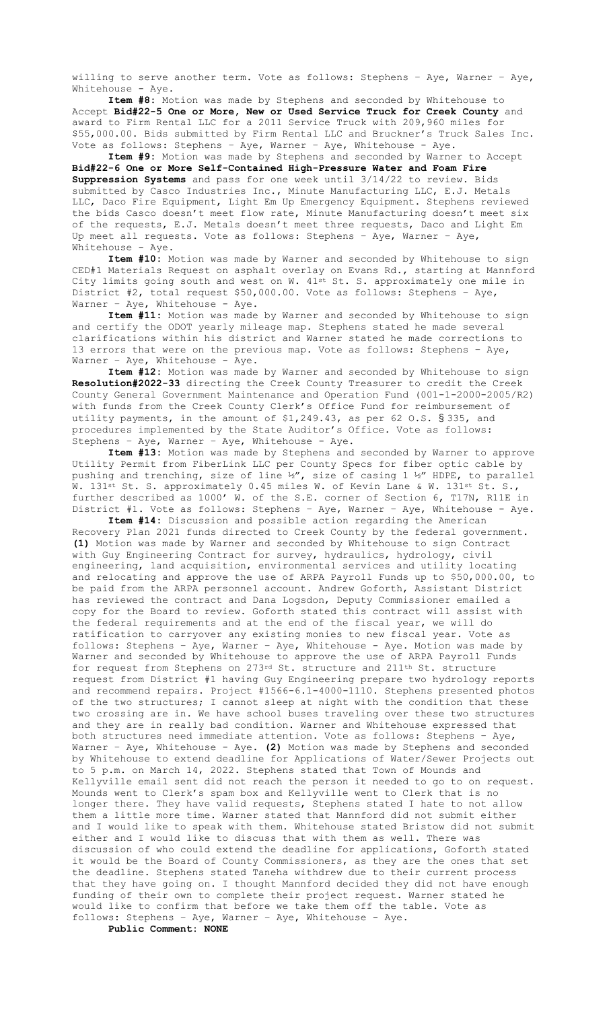willing to serve another term. Vote as follows: Stephens - Aye, Warner - Aye, Whitehouse - Aye.

**Item #8:** Motion was made by Stephens and seconded by Whitehouse to Accept **Bid#22-5 One or More, New or Used Service Truck for Creek County** and award to Firm Rental LLC for a 2011 Service Truck with 209,960 miles for \$55,000.00. Bids submitted by Firm Rental LLC and Bruckner's Truck Sales Inc. Vote as follows: Stephens – Aye, Warner – Aye, Whitehouse - Aye.

**Item #9:** Motion was made by Stephens and seconded by Warner to Accept **Bid#22-6 One or More Self-Contained High-Pressure Water and Foam Fire Suppression Systems** and pass for one week until 3/14/22 to review. Bids submitted by Casco Industries Inc., Minute Manufacturing LLC, E.J. Metals LLC, Daco Fire Equipment, Light Em Up Emergency Equipment. Stephens reviewed the bids Casco doesn't meet flow rate, Minute Manufacturing doesn't meet six of the requests, E.J. Metals doesn't meet three requests, Daco and Light Em Up meet all requests. Vote as follows: Stephens – Aye, Warner – Aye, Whitehouse - Aye.

**Item #10:** Motion was made by Warner and seconded by Whitehouse to sign CED#1 Materials Request on asphalt overlay on Evans Rd., starting at Mannford City limits going south and west on W.  $41^{st}$  St. S. approximately one mile in District #2, total request \$50,000.00. Vote as follows: Stephens – Aye, Warner - Aye, Whitehouse - Aye.

**Item #11:** Motion was made by Warner and seconded by Whitehouse to sign and certify the ODOT yearly mileage map. Stephens stated he made several clarifications within his district and Warner stated he made corrections to 13 errors that were on the previous map. Vote as follows: Stephens – Aye, Warner – Aye, Whitehouse - Aye.

**Item #12:** Motion was made by Warner and seconded by Whitehouse to sign **Resolution#2022-33** directing the Creek County Treasurer to credit the Creek County General Government Maintenance and Operation Fund (001-1-2000-2005/R2) with funds from the Creek County Clerk's Office Fund for reimbursement of utility payments, in the amount of \$1,249.43, as per 62 O.S. § 335, and procedures implemented by the State Auditor's Office. Vote as follows: Stephens – Aye, Warner – Aye, Whitehouse - Aye.

**Item #13:** Motion was made by Stephens and seconded by Warner to approve Utility Permit from FiberLink LLC per County Specs for fiber optic cable by pushing and trenching, size of line ½", size of casing 1 ½" HDPE, to parallel W. 131st St. S. approximately 0.45 miles W. of Kevin Lane & W. 131st St. S., further described as 1000' W. of the S.E. corner of Section 6, T17N, R11E in District #1. Vote as follows: Stephens – Aye, Warner – Aye, Whitehouse - Aye.

**Item #14:** Discussion and possible action regarding the American Recovery Plan 2021 funds directed to Creek County by the federal government. **(1)** Motion was made by Warner and seconded by Whitehouse to sign Contract with Guy Engineering Contract for survey, hydraulics, hydrology, civil engineering, land acquisition, environmental services and utility locating and relocating and approve the use of ARPA Payroll Funds up to \$50,000.00, to be paid from the ARPA personnel account. Andrew Goforth, Assistant District has reviewed the contract and Dana Logsdon, Deputy Commissioner emailed a copy for the Board to review. Goforth stated this contract will assist with the federal requirements and at the end of the fiscal year, we will do ratification to carryover any existing monies to new fiscal year. Vote as follows: Stephens – Aye, Warner – Aye, Whitehouse - Aye. Motion was made by Warner and seconded by Whitehouse to approve the use of ARPA Payroll Funds for request from Stephens on 273rd St. structure and 211th St. structure request from District #1 having Guy Engineering prepare two hydrology reports and recommend repairs. Project #1566-6.1-4000-1110. Stephens presented photos of the two structures; I cannot sleep at night with the condition that these two crossing are in. We have school buses traveling over these two structures and they are in really bad condition. Warner and Whitehouse expressed that both structures need immediate attention. Vote as follows: Stephens – Aye, Warner – Aye, Whitehouse - Aye. **(2)** Motion was made by Stephens and seconded by Whitehouse to extend deadline for Applications of Water/Sewer Projects out to 5 p.m. on March 14, 2022. Stephens stated that Town of Mounds and Kellyville email sent did not reach the person it needed to go to on request. Mounds went to Clerk's spam box and Kellyville went to Clerk that is no longer there. They have valid requests, Stephens stated I hate to not allow them a little more time. Warner stated that Mannford did not submit either and I would like to speak with them. Whitehouse stated Bristow did not submit either and I would like to discuss that with them as well. There was discussion of who could extend the deadline for applications, Goforth stated it would be the Board of County Commissioners, as they are the ones that set the deadline. Stephens stated Taneha withdrew due to their current process that they have going on. I thought Mannford decided they did not have enough funding of their own to complete their project request. Warner stated he would like to confirm that before we take them off the table. Vote as follows: Stephens – Aye, Warner – Aye, Whitehouse - Aye.

**Public Comment: NONE**